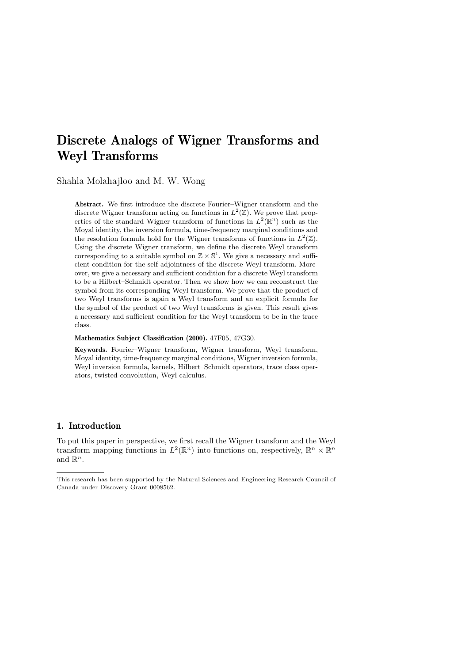# Discrete Analogs of Wigner Transforms and Weyl Transforms

Shahla Molahajloo and M. W. Wong

Abstract. We first introduce the discrete Fourier–Wigner transform and the discrete Wigner transform acting on functions in  $L^2(\mathbb{Z})$ . We prove that properties of the standard Wigner transform of functions in  $L^2(\mathbb{R}^n)$  such as the Moyal identity, the inversion formula, time-frequency marginal conditions and the resolution formula hold for the Wigner transforms of functions in  $L^2(\mathbb{Z})$ . Using the discrete Wigner transform, we define the discrete Weyl transform corresponding to a suitable symbol on  $\mathbb{Z} \times \mathbb{S}^1$ . We give a necessary and sufficient condition for the self-adjointness of the discrete Weyl transform. Moreover, we give a necessary and sufficient condition for a discrete Weyl transform to be a Hilbert–Schmidt operator. Then we show how we can reconstruct the symbol from its corresponding Weyl transform. We prove that the product of two Weyl transforms is again a Weyl transform and an explicit formula for the symbol of the product of two Weyl transforms is given. This result gives a necessary and sufficient condition for the Weyl transform to be in the trace class.

Mathematics Subject Classification (2000). 47F05, 47G30.

Keywords. Fourier–Wigner transform, Wigner transform, Weyl transform, Moyal identity, time-frequency marginal conditions, Wigner inversion formula, Weyl inversion formula, kernels, Hilbert–Schmidt operators, trace class operators, twisted convolution, Weyl calculus.

## 1. Introduction

To put this paper in perspective, we first recall the Wigner transform and the Weyl transform mapping functions in  $L^2(\mathbb{R}^n)$  into functions on, respectively,  $\mathbb{R}^n \times \mathbb{R}^n$ and  $\mathbb{R}^n$ .

This research has been supported by the Natural Sciences and Engineering Research Council of Canada under Discovery Grant 0008562.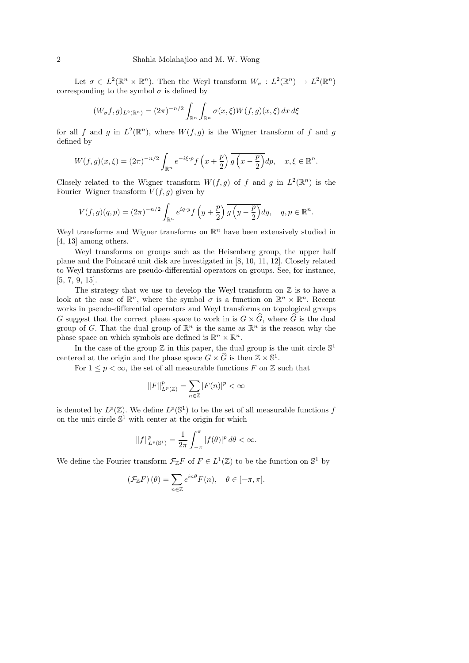Let  $\sigma \in L^2(\mathbb{R}^n \times \mathbb{R}^n)$ . Then the Weyl transform  $W_{\sigma}: L^2(\mathbb{R}^n) \to L^2(\mathbb{R}^n)$ corresponding to the symbol  $\sigma$  is defined by

$$
(W_{\sigma}f, g)_{L^2(\mathbb{R}^n)} = (2\pi)^{-n/2} \int_{\mathbb{R}^n} \int_{\mathbb{R}^n} \sigma(x, \xi) W(f, g)(x, \xi) dx d\xi
$$

for all f and g in  $L^2(\mathbb{R}^n)$ , where  $W(f,g)$  is the Wigner transform of f and g defined by

$$
W(f,g)(x,\xi) = (2\pi)^{-n/2} \int_{\mathbb{R}^n} e^{-i\xi \cdot p} f\left(x + \frac{p}{2}\right) \overline{g\left(x - \frac{p}{2}\right)} dp, \quad x, \xi \in \mathbb{R}^n.
$$

Closely related to the Wigner transform  $W(f,g)$  of f and g in  $L^2(\mathbb{R}^n)$  is the Fourier–Wigner transform  $V(f, g)$  given by

$$
V(f,g)(q,p) = (2\pi)^{-n/2} \int_{\mathbb{R}^n} e^{iq \cdot y} f\left(y + \frac{p}{2}\right) \overline{g\left(y - \frac{p}{2}\right)} dy, \quad q, p \in \mathbb{R}^n.
$$

Weyl transforms and Wigner transforms on  $\mathbb{R}^n$  have been extensively studied in [4, 13] among others.

Weyl transforms on groups such as the Heisenberg group, the upper half plane and the Poincaré unit disk are investigated in  $[8, 10, 11, 12]$ . Closely related to Weyl transforms are pseudo-differential operators on groups. See, for instance, [5, 7, 9, 15].

The strategy that we use to develop the Weyl transform on  $\mathbb Z$  is to have a look at the case of  $\mathbb{R}^n$ , where the symbol  $\sigma$  is a function on  $\mathbb{R}^n \times \mathbb{R}^n$ . Recent works in pseudo-differential operators and Weyl transforms on topological groups G suggest that the correct phase space to work in is  $G \times \widehat{G}$ , where  $\widehat{G}$  is the dual group of G. That the dual group of  $\mathbb{R}^n$  is the same as  $\mathbb{R}^n$  is the reason why the phase space on which symbols are defined is  $\mathbb{R}^n \times \mathbb{R}^n$ .

In the case of the group  $\mathbb Z$  in this paper, the dual group is the unit circle  $\mathbb S^1$ centered at the origin and the phase space  $G \times \widehat{G}$  is then  $\mathbb{Z} \times \mathbb{S}^1$ .

For  $1 \leq p < \infty$ , the set of all measurable functions F on Z such that

$$
\|F\|_{L^p(\mathbb{Z})}^p=\sum_{n\in\mathbb{Z}}|F(n)|^p<\infty
$$

is denoted by  $L^p(\mathbb{Z})$ . We define  $L^p(\mathbb{S}^1)$  to be the set of all measurable functions f on the unit circle  $S^1$  with center at the origin for which

$$
||f||_{L^p(\mathbb{S}^1)}^p = \frac{1}{2\pi} \int_{-\pi}^{\pi} |f(\theta)|^p d\theta < \infty.
$$

We define the Fourier transform  $\mathcal{F}_{\mathbb{Z}}F$  of  $F \in L^1(\mathbb{Z})$  to be the function on  $\mathbb{S}^1$  by

$$
\left(\mathcal{F}_{\mathbb{Z}}F\right)(\theta) = \sum_{n \in \mathbb{Z}} e^{in\theta} F(n), \quad \theta \in [-\pi, \pi].
$$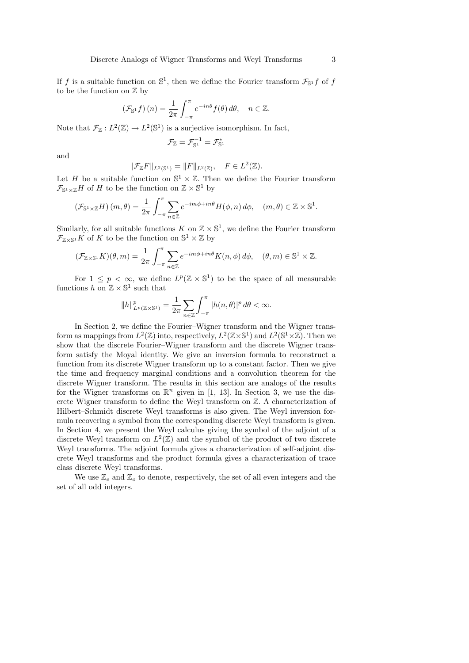If f is a suitable function on  $\mathbb{S}^1$ , then we define the Fourier transform  $\mathcal{F}_{\mathbb{S}^1}$  f of f to be the function on  $\mathbb Z$  by

$$
\left(\mathcal{F}_{\mathbb{S}^1}f\right)(n) = \frac{1}{2\pi} \int_{-\pi}^{\pi} e^{-in\theta} f(\theta) d\theta, \quad n \in \mathbb{Z}.
$$

Note that  $\mathcal{F}_{\mathbb{Z}}: L^2(\mathbb{Z}) \to L^2(\mathbb{S}^1)$  is a surjective isomorphism. In fact,

$$
\mathcal{F}_\mathbb{Z}=\mathcal{F}_{\mathbb{S}^1}^{-1}=\mathcal{F}_{\mathbb{S}^1}^*
$$

and

$$
\|\mathcal{F}_{\mathbb{Z}}F\|_{L^2(\mathbb{S}^1)} = \|F\|_{L^2(\mathbb{Z})}, \quad F \in L^2(\mathbb{Z}).
$$

Let H be a suitable function on  $\mathbb{S}^1 \times \mathbb{Z}$ . Then we define the Fourier transform  $\mathcal{F}_{\mathbb{S}^1 \times \mathbb{Z}} H$  of H to be the function on  $\mathbb{Z} \times \mathbb{S}^1$  by

$$
\left(\mathcal{F}_{\mathbb{S}^1\times\mathbb{Z}}H\right)(m,\theta)=\frac{1}{2\pi}\int_{-\pi}^{\pi}\sum_{n\in\mathbb{Z}}e^{-im\phi+in\theta}H(\phi,n)\,d\phi,\quad (m,\theta)\in\mathbb{Z}\times\mathbb{S}^1.
$$

Similarly, for all suitable functions  $K$  on  $\mathbb{Z} \times \mathbb{S}^1$ , we define the Fourier transform  $\mathcal{F}_{\mathbb{Z}\times \mathbb{S}^1}K$  of K to be the function on  $\mathbb{S}^1\times \mathbb{Z}$  by

$$
(\mathcal{F}_{\mathbb{Z}\times\mathbb{S}^1}K)(\theta,m)=\frac{1}{2\pi}\int_{-\pi}^{\pi}\sum_{n\in\mathbb{Z}}e^{-im\phi+in\theta}K(n,\phi)\,d\phi,\quad(\theta,m)\in\mathbb{S}^1\times\mathbb{Z}.
$$

For  $1 \leq p < \infty$ , we define  $L^p(\mathbb{Z} \times \mathbb{S}^1)$  to be the space of all measurable functions  $h$  on  $\mathbb{Z} \times \mathbb{S}^1$  such that

$$
||h||_{L^p(\mathbb{Z}\times \mathbb{S}^1)}^p = \frac{1}{2\pi} \sum_{n\in\mathbb{Z}} \int_{-\pi}^{\pi} |h(n,\theta)|^p d\theta < \infty.
$$

In Section 2, we define the Fourier–Wigner transform and the Wigner transform as mappings from  $L^2(\mathbb{Z})$  into, respectively,  $L^2(\mathbb{Z}\times\mathbb{S}^1)$  and  $L^2(\mathbb{S}^1\times\mathbb{Z})$ . Then we show that the discrete Fourier–Wigner transform and the discrete Wigner transform satisfy the Moyal identity. We give an inversion formula to reconstruct a function from its discrete Wigner transform up to a constant factor. Then we give the time and frequency marginal conditions and a convolution theorem for the discrete Wigner transform. The results in this section are analogs of the results for the Wigner transforms on  $\mathbb{R}^n$  given in [1, 13]. In Section 3, we use the discrete Wigner transform to define the Weyl transform on Z. A characterization of Hilbert–Schmidt discrete Weyl transforms is also given. The Weyl inversion formula recovering a symbol from the corresponding discrete Weyl transform is given. In Section 4, we present the Weyl calculus giving the symbol of the adjoint of a discrete Weyl transform on  $L^2(\mathbb{Z})$  and the symbol of the product of two discrete Weyl transforms. The adjoint formula gives a characterization of self-adjoint discrete Weyl transforms and the product formula gives a characterization of trace class discrete Weyl transforms.

We use  $\mathbb{Z}_e$  and  $\mathbb{Z}_o$  to denote, respectively, the set of all even integers and the set of all odd integers.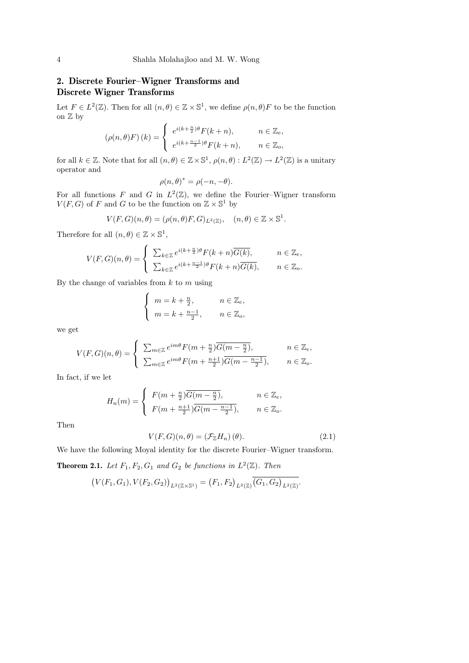### 2. Discrete Fourier–Wigner Transforms and Discrete Wigner Transforms

Let  $F \in L^2(\mathbb{Z})$ . Then for all  $(n, \theta) \in \mathbb{Z} \times \mathbb{S}^1$ , we define  $\rho(n, \theta)F$  to be the function on  $\mathbb Z$  by  $\overline{ }$ 

$$
(\rho(n,\theta)F)(k) = \begin{cases} e^{i(k+\frac{n}{2})\theta}F(k+n), & n \in \mathbb{Z}_e, \\ e^{i(k+\frac{n-1}{2})\theta}F(k+n), & n \in \mathbb{Z}_o, \end{cases}
$$

for all  $k \in \mathbb{Z}$ . Note that for all  $(n, \theta) \in \mathbb{Z} \times \mathbb{S}^1$ ,  $\rho(n, \theta) : L^2(\mathbb{Z}) \to L^2(\mathbb{Z})$  is a unitary operator and

$$
\rho(n,\theta)^* = \rho(-n,-\theta).
$$

For all functions F and G in  $L^2(\mathbb{Z})$ , we define the Fourier-Wigner transform  $V(F, G)$  of F and G to be the function on  $\mathbb{Z} \times \mathbb{S}^1$  by

$$
V(F, G)(n, \theta) = (\rho(n, \theta)F, G)_{L^2(\mathbb{Z})}, \quad (n, \theta) \in \mathbb{Z} \times \mathbb{S}^1.
$$

Therefore for all  $(n, \theta) \in \mathbb{Z} \times \mathbb{S}^1$ ,

$$
V(F,G)(n,\theta) = \begin{cases} \sum_{k \in \mathbb{Z}} e^{i(k+\frac{n}{2})\theta} F(k+n) \overline{G(k)}, & n \in \mathbb{Z}_e, \\ \sum_{k \in \mathbb{Z}} e^{i(k+\frac{n-1}{2})\theta} F(k+n) \overline{G(k)}, & n \in \mathbb{Z}_o. \end{cases}
$$

By the change of variables from  $k$  to  $m$  using

$$
\begin{cases}\n m = k + \frac{n}{2}, & n \in \mathbb{Z}_e, \\
 m = k + \frac{n-1}{2}, & n \in \mathbb{Z}_o,\n\end{cases}
$$

we get

$$
V(F, G)(n, \theta) = \begin{cases} \sum_{m \in \mathbb{Z}} e^{im\theta} F(m + \frac{n}{2}) \overline{G(m - \frac{n}{2})}, & n \in \mathbb{Z}_e, \\ \sum_{m \in \mathbb{Z}} e^{im\theta} F(m + \frac{n+1}{2}) \overline{G(m - \frac{n-1}{2})}, & n \in \mathbb{Z}_o. \end{cases}
$$

In fact, if we let

$$
H_n(m) = \begin{cases} F(m + \frac{n}{2})\overline{G(m - \frac{n}{2})}, & n \in \mathbb{Z}_e, \\ F(m + \frac{n+1}{2})\overline{G(m - \frac{n-1}{2})}, & n \in \mathbb{Z}_o. \end{cases}
$$

Then

$$
V(F, G)(n, \theta) = (\mathcal{F}_{\mathbb{Z}} H_n)(\theta).
$$
 (2.1)

We have the following Moyal identity for the discrete Fourier–Wigner transform.

**Theorem 2.1.** Let  $F_1, F_2, G_1$  and  $G_2$  be functions in  $L^2(\mathbb{Z})$ . Then

$$
(V(F_1, G_1), V(F_2, G_2))_{L^2(\mathbb{Z}\times\mathbb{S}^1)} = (F_1, F_2)_{L^2(\mathbb{Z})} \overline{(G_1, G_2)_{L^2(\mathbb{Z})}}.
$$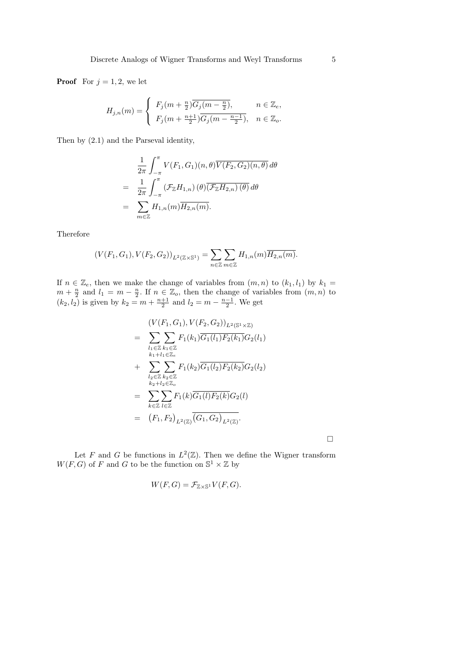**Proof** For  $j = 1, 2$ , we let

$$
H_{j,n}(m) = \begin{cases} F_j(m + \frac{n}{2})\overline{G_j(m - \frac{n}{2})}, & n \in \mathbb{Z}_e, \\ F_j(m + \frac{n+1}{2})\overline{G_j(m - \frac{n-1}{2})}, & n \in \mathbb{Z}_o. \end{cases}
$$

Then by (2.1) and the Parseval identity,

$$
\frac{1}{2\pi} \int_{-\pi}^{\pi} V(F_1, G_1)(n, \theta) \overline{V(F_2, G_2)(n, \theta)} d\theta
$$
\n
$$
= \frac{1}{2\pi} \int_{-\pi}^{\pi} (\mathcal{F}_{\mathbb{Z}} H_{1,n})(\theta) \overline{(\mathcal{F}_{\mathbb{Z}} H_{2,n})(\theta)} d\theta
$$
\n
$$
= \sum_{m \in \mathbb{Z}} H_{1,n}(m) \overline{H_{2,n}(m)}.
$$

Therefore

$$
(V(F_1, G_1), V(F_2, G_2))_{L^2(\mathbb{Z}\times\mathbb{S}^1)} = \sum_{n\in\mathbb{Z}} \sum_{m\in\mathbb{Z}} H_{1,n}(m) \overline{H_{2,n}(m)}.
$$

If  $n \in \mathbb{Z}_e$ , then we make the change of variables from  $(m, n)$  to  $(k_1, l_1)$  by  $k_1 =$  $m + \frac{n}{2}$  and  $l_1 = m - \frac{n}{2}$ . If  $n \in \mathbb{Z}_0$ , then the change of variables from  $(m, n)$  to  $(k_2, l_2)$  is given by  $k_2 = m + \frac{n+1}{2}$  and  $l_2 = m - \frac{n-1}{2}$ . We get

$$
(V(F_1, G_1), V(F_2, G_2))_{L^2(\mathbb{S}^1 \times \mathbb{Z})}
$$
\n
$$
= \sum_{\substack{l_1 \in \mathbb{Z} \\ k_1 + l_1 \in \mathbb{Z}_e}} \sum_{k_1 \in \mathbb{Z}} F_1(k_1) \overline{G_1(l_1) F_2(k_1)} G_2(l_1)
$$
\n
$$
+ \sum_{\substack{l_2 \in \mathbb{Z} \\ k_2 + l_2 \in \mathbb{Z}_o}} \sum_{k_2 \in \mathbb{Z}} F_1(k_2) \overline{G_1(l_2) F_2(k_2)} G_2(l_2)
$$
\n
$$
= \sum_{k \in \mathbb{Z}} \sum_{l \in \mathbb{Z}} F_1(k) \overline{G_1(l) F_2(k)} G_2(l)
$$
\n
$$
= (F_1, F_2)_{L^2(\mathbb{Z})} \overline{(G_1, G_2)}_{L^2(\mathbb{Z})}.
$$

 $\Box$ 

Let F and G be functions in  $L^2(\mathbb{Z})$ . Then we define the Wigner transform  $W(F, G)$  of F and G to be the function on  $\mathbb{S}^1 \times \mathbb{Z}$  by

$$
W(F,G) = \mathcal{F}_{\mathbb{Z}\times\mathbb{S}^1}V(F,G).
$$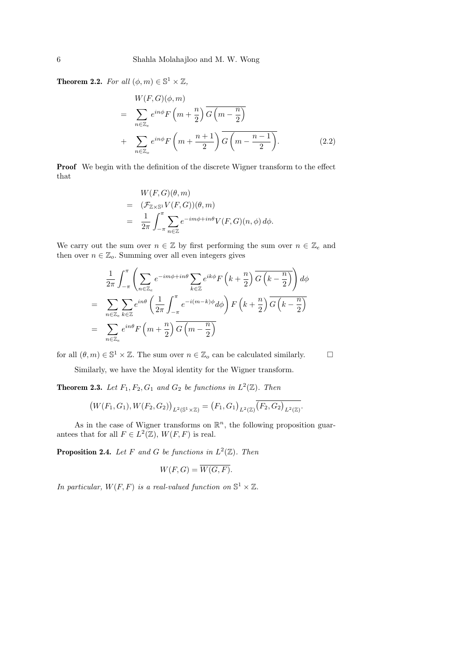**Theorem 2.2.** For all  $(\phi, m) \in \mathbb{S}^1 \times \mathbb{Z}$ ,

$$
W(F, G)(\phi, m)
$$
  
= 
$$
\sum_{n \in \mathbb{Z}_e} e^{in\phi} F\left(m + \frac{n}{2}\right) \overline{G\left(m - \frac{n}{2}\right)}
$$
  
+ 
$$
\sum_{n \in \mathbb{Z}_o} e^{in\phi} F\left(m + \frac{n+1}{2}\right) \overline{G\left(m - \frac{n-1}{2}\right)}.
$$
 (2.2)

Proof We begin with the definition of the discrete Wigner transform to the effect that

$$
W(F, G)(\theta, m)
$$
  
=  $(\mathcal{F}_{\mathbb{Z}\times\mathbb{S}^1}V(F, G))(\theta, m)$   
=  $\frac{1}{2\pi}\int_{-\pi}^{\pi}\sum_{n\in\mathbb{Z}}e^{-im\phi + in\theta}V(F, G)(n, \phi) d\phi.$ 

We carry out the sum over  $n \in \mathbb{Z}$  by first performing the sum over  $n \in \mathbb{Z}_e$  and then over  $n \in \mathbb{Z}_o$ . Summing over all even integers gives

$$
\frac{1}{2\pi} \int_{-\pi}^{\pi} \left( \sum_{n \in \mathbb{Z}_e} e^{-im\phi + in\theta} \sum_{k \in \mathbb{Z}} e^{ik\phi} F\left(k + \frac{n}{2}\right) \overline{G\left(k - \frac{n}{2}\right)} \right) d\phi
$$
\n
$$
= \sum_{n \in \mathbb{Z}_e} \sum_{k \in \mathbb{Z}} e^{in\theta} \left( \frac{1}{2\pi} \int_{-\pi}^{\pi} e^{-i(m-k)\phi} d\phi \right) F\left(k + \frac{n}{2}\right) \overline{G\left(k - \frac{n}{2}\right)}
$$
\n
$$
= \sum_{n \in \mathbb{Z}_e} e^{in\theta} F\left(m + \frac{n}{2}\right) \overline{G\left(m - \frac{n}{2}\right)}
$$

for all  $(\theta, m) \in \mathbb{S}^1 \times \mathbb{Z}$ . The sum over  $n \in \mathbb{Z}_o$  can be calculated similarly.

Similarly, we have the Moyal identity for the Wigner transform.

**Theorem 2.3.** Let  $F_1, F_2, G_1$  and  $G_2$  be functions in  $L^2(\mathbb{Z})$ . Then

$$
(W(F_1, G_1), W(F_2, G_2))_{L^2(\mathbb{S}^1 \times \mathbb{Z})} = (F_1, G_1)_{L^2(\mathbb{Z})} \overline{(F_2, G_2)_{L^2(\mathbb{Z})}}.
$$

As in the case of Wigner transforms on  $\mathbb{R}^n$ , the following proposition guarantees that for all  $F \in L^2(\mathbb{Z})$ ,  $W(F, F)$  is real.

**Proposition 2.4.** Let F and G be functions in  $L^2(\mathbb{Z})$ . Then

$$
W(F,G) = \overline{W(G,F)}.
$$

In particular,  $W(F, F)$  is a real-valued function on  $\mathbb{S}^1 \times \mathbb{Z}$ .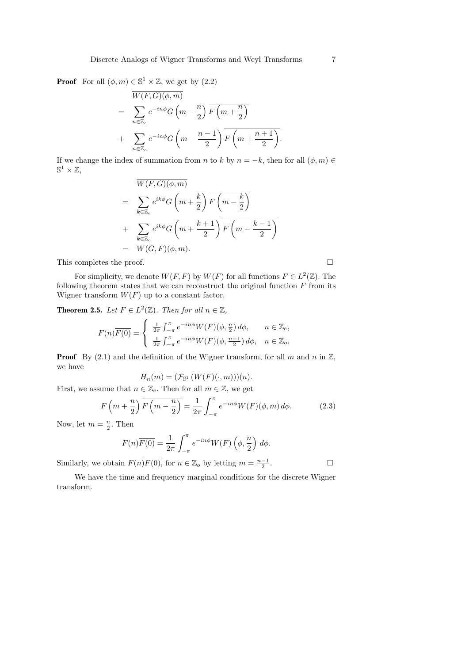**Proof** For all  $(\phi, m) \in \mathbb{S}^1 \times \mathbb{Z}$ , we get by  $(2.2)$ 

$$
\overline{W(F, G)(\phi, m)}
$$
\n
$$
= \sum_{n \in \mathbb{Z}_e} e^{-in\phi} G\left(m - \frac{n}{2}\right) \overline{F\left(m + \frac{n}{2}\right)}
$$
\n
$$
+ \sum_{n \in \mathbb{Z}_o} e^{-in\phi} G\left(m - \frac{n-1}{2}\right) \overline{F\left(m + \frac{n+1}{2}\right)}.
$$

If we change the index of summation from n to k by  $n = -k$ , then for all  $(\phi, m) \in$  $\mathbb{S}^1 \times \mathbb{Z}$ ,

$$
\overline{W(F, G)(\phi, m)}
$$
\n
$$
= \sum_{k \in \mathbb{Z}_e} e^{ik\phi} G\left(m + \frac{k}{2}\right) \overline{F\left(m - \frac{k}{2}\right)}
$$
\n
$$
+ \sum_{k \in \mathbb{Z}_o} e^{ik\phi} G\left(m + \frac{k+1}{2}\right) \overline{F\left(m - \frac{k-1}{2}\right)}
$$
\n
$$
= W(G, F)(\phi, m).
$$

This completes the proof.

For simplicity, we denote  $W(F, F)$  by  $W(F)$  for all functions  $F \in L^2(\mathbb{Z})$ . The following theorem states that we can reconstruct the original function  $F$  from its Wigner transform  $W(F)$  up to a constant factor.

**Theorem 2.5.** Let  $F \in L^2(\mathbb{Z})$ . Then for all  $n \in \mathbb{Z}$ ,

$$
F(n)\overline{F(0)} = \begin{cases} \frac{1}{2\pi} \int_{-\pi}^{\pi} e^{-in\phi} W(F)(\phi, \frac{n}{2}) d\phi, & n \in \mathbb{Z}_e, \\ \frac{1}{2\pi} \int_{-\pi}^{\pi} e^{-in\phi} W(F)(\phi, \frac{n-1}{2}) d\phi, & n \in \mathbb{Z}_o. \end{cases}
$$

**Proof** By (2.1) and the definition of the Wigner transform, for all m and n in  $\mathbb{Z}$ , we have

$$
H_n(m)=(\mathcal{F}_{\mathbb{S}^1}\left(W(F)(\cdot,m)\right))(n).
$$

First, we assume that  $n \in \mathbb{Z}_e$ . Then for all  $m \in \mathbb{Z}$ , we get

$$
F\left(m+\frac{n}{2}\right)\overline{F\left(m-\frac{n}{2}\right)} = \frac{1}{2\pi} \int_{-\pi}^{\pi} e^{-in\phi} W(F)(\phi, m) d\phi.
$$
 (2.3)

Now, let  $m = \frac{n}{2}$ . Then

$$
F(n)\overline{F(0)} = \frac{1}{2\pi} \int_{-\pi}^{\pi} e^{-in\phi} W(F) \left(\phi, \frac{n}{2}\right) d\phi.
$$

Similarly, we obtain  $F(n)\overline{F(0)}$ , for  $n \in \mathbb{Z}_o$  by letting  $m = \frac{n-1}{2}$ . — Первый проста в сервести проста в сервести проста в сервести проста в сервести проста в сервести проста в<br>В сервести проста в сервести проста в сервести проста в сервести проста в сервести проста в сервести проста в

We have the time and frequency marginal conditions for the discrete Wigner transform.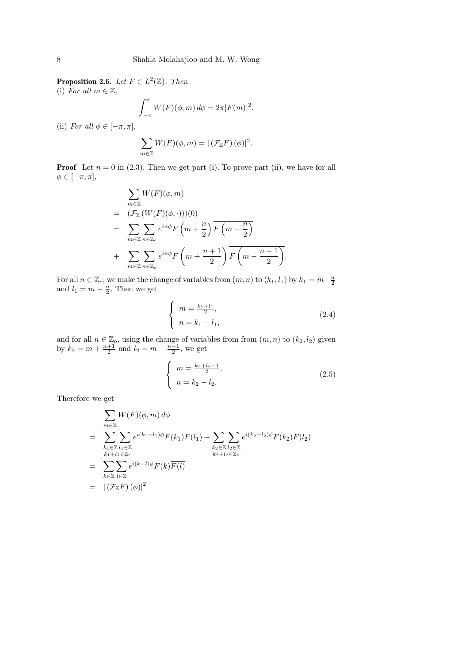**Proposition 2.6.** Let  $F \in L^2(\mathbb{Z})$ . Then (i) For all  $m \in \mathbb{Z}$ ,

$$
\int_{-\pi}^{\pi} W(F)(\phi, m) d\phi = 2\pi |F(m)|^2.
$$

(ii) For all  $\phi \in [-\pi, \pi]$ ,

$$
\sum_{m\in\mathbb{Z}} W(F)(\phi,m) = |(\mathcal{F}_{\mathbb{Z}}F)(\phi)|^2.
$$

**Proof** Let  $n = 0$  in (2.3). Then we get part (i). To prove part (ii), we have for all  $\phi \in [-\pi, \pi],$ 

$$
\sum_{m\in\mathbb{Z}} W(F)(\phi, m)
$$
\n
$$
= (\mathcal{F}_{\mathbb{Z}} (W(F)(\phi, \cdot)))(0)
$$
\n
$$
= \sum_{m\in\mathbb{Z}} \sum_{n\in\mathbb{Z}_e} e^{in\phi} F\left(m + \frac{n}{2}\right) \overline{F\left(m - \frac{n}{2}\right)}
$$
\n
$$
+ \sum_{m\in\mathbb{Z}} \sum_{n\in\mathbb{Z}_e} e^{in\phi} F\left(m + \frac{n+1}{2}\right) \overline{F\left(m - \frac{n-1}{2}\right)}.
$$

For all  $n \in \mathbb{Z}_e$ , we make the change of variables from  $(m, n)$  to  $(k_1, l_1)$  by  $k_1 = m + \frac{n}{2}$ and  $l_1 = m - \frac{n}{2}$ . Then we get

$$
\begin{cases}\n m = \frac{k_1 + l_1}{2}, \\
 n = k_1 - l_1,\n\end{cases}
$$
\n(2.4)

and for all  $n \in \mathbb{Z}_o$ , using the change of variables from from  $(m, n)$  to  $(k_2, l_2)$  given by  $k_2 = m + \frac{n+1}{2}$  and  $l_2 = m - \frac{n-1}{2}$ , we get

$$
\begin{cases}\n m = \frac{k_2 + l_2 - 1}{2}, \\
 n = k_2 - l_2.\n\end{cases}
$$
\n(2.5)

Therefore we get

$$
\sum_{m\in\mathbb{Z}} W(F)(\phi, m) d\phi
$$
\n
$$
= \sum_{\substack{k_1\in\mathbb{Z} \\ k_1+l_1\in\mathbb{Z} \\ k_2+l_2\in\mathbb{Z} \\ k_1\in\mathbb{Z}}} \sum_{l_1\in\mathbb{Z}} e^{i(k_1-l_1)\phi} F(k_1) \overline{F(l_1)} + \sum_{\substack{k_2\in\mathbb{Z} \\ k_2+l_2\in\mathbb{Z} \\ k_2+l_2\in\mathbb{Z} \\ k_2+l_2\in\mathbb{Z} \\ k_2\in\mathbb{Z}}} e^{i(k_2-l_2)\phi} F(k_2) \overline{F(l_2)}
$$
\n
$$
= \sum_{k\in\mathbb{Z}} \sum_{l\in\mathbb{Z}} e^{i(k-l)\phi} F(k) \overline{F(l)}
$$
\n
$$
= |(\mathcal{F}_{\mathbb{Z}} F)(\phi)|^2
$$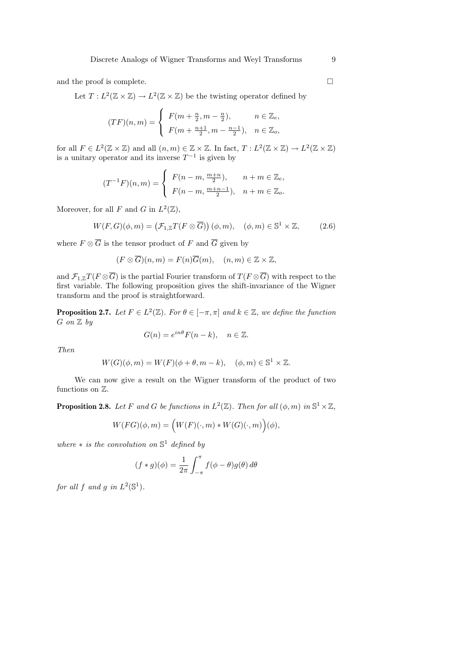and the proof is complete.  $\hfill \square$ 

Let  $T: L^2(\mathbb{Z} \times \mathbb{Z}) \to L^2(\mathbb{Z} \times \mathbb{Z})$  be the twisting operator defined by

$$
(TF)(n,m) = \begin{cases} F(m + \frac{n}{2}, m - \frac{n}{2}), & n \in \mathbb{Z}_e, \\ F(m + \frac{n+1}{2}, m - \frac{n-1}{2}), & n \in \mathbb{Z}_o, \end{cases}
$$

for all  $F \in L^2(\mathbb{Z} \times \mathbb{Z})$  and all  $(n,m) \in \mathbb{Z} \times \mathbb{Z}$ . In fact,  $T: L^2(\mathbb{Z} \times \mathbb{Z}) \to L^2(\mathbb{Z} \times \mathbb{Z})$ is a unitary operator and its inverse  $T^{-1}$  is given by

$$
(T^{-1}F)(n,m) = \begin{cases} F(n-m, \frac{m+n}{2}), & n+m \in \mathbb{Z}_e, \\ F(n-m, \frac{m+n-1}{2}), & n+m \in \mathbb{Z}_o. \end{cases}
$$

Moreover, for all F and G in  $L^2(\mathbb{Z})$ ,

$$
W(F, G)(\phi, m) = (\mathcal{F}_{1,\mathbb{Z}} T(F \otimes \overline{G})) (\phi, m), \quad (\phi, m) \in \mathbb{S}^1 \times \mathbb{Z}, \tag{2.6}
$$

where  $F \otimes \overline{G}$  is the tensor product of F and  $\overline{G}$  given by

$$
(F \otimes \overline{G})(n,m) = F(n)\overline{G}(m), \quad (n,m) \in \mathbb{Z} \times \mathbb{Z},
$$

and  $\mathcal{F}_{1,\mathbb{Z}}T(F \otimes \overline{G})$  is the partial Fourier transform of  $T(F \otimes \overline{G})$  with respect to the first variable. The following proposition gives the shift-invariance of the Wigner transform and the proof is straightforward.

**Proposition 2.7.** Let  $F \in L^2(\mathbb{Z})$ . For  $\theta \in [-\pi, \pi]$  and  $k \in \mathbb{Z}$ , we define the function  $G$  on  $\mathbb Z$  by

$$
G(n) = e^{in\theta} F(n-k), \quad n \in \mathbb{Z}.
$$

Then

$$
W(G)(\phi, m) = W(F)(\phi + \theta, m - k), \quad (\phi, m) \in \mathbb{S}^1 \times \mathbb{Z}.
$$

We can now give a result on the Wigner transform of the product of two functions on Z.

**Proposition 2.8.** Let F and G be functions in  $L^2(\mathbb{Z})$ . Then for all  $(\phi, m)$  in  $\mathbb{S}^1 \times \mathbb{Z}$ ,

$$
W(FG)(\phi, m) = \Big(W(F)(\cdot, m) * W(G)(\cdot, m)\Big)(\phi),
$$

where  $*$  is the convolution on  $\mathbb{S}^1$  defined by

$$
(f * g)(\phi) = \frac{1}{2\pi} \int_{-\pi}^{\pi} f(\phi - \theta)g(\theta) d\theta
$$

for all f and g in  $L^2(\mathbb{S}^1)$ .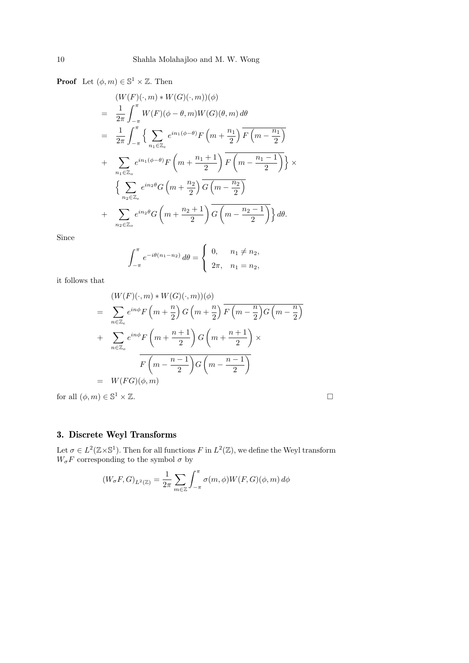**Proof** Let  $(\phi, m) \in \mathbb{S}^1 \times \mathbb{Z}$ . Then

$$
(W(F)(\cdot,m) * W(G)(\cdot,m))(\phi)
$$
  
=  $\frac{1}{2\pi} \int_{-\pi}^{\pi} W(F)(\phi - \theta, m)W(G)(\theta, m) d\theta$   
=  $\frac{1}{2\pi} \int_{-\pi}^{\pi} \left\{ \sum_{n_1 \in \mathbb{Z}_e} e^{in_1(\phi - \theta)} F\left(m + \frac{n_1}{2}\right) \overline{F\left(m - \frac{n_1}{2}\right)} \right\}$   
+  $\sum_{n_1 \in \mathbb{Z}_o} e^{in_1(\phi - \theta)} F\left(m + \frac{n_1 + 1}{2}\right) \overline{F\left(m - \frac{n_1 - 1}{2}\right)} \right\} \times$   
 $\left\{ \sum_{n_2 \in \mathbb{Z}_e} e^{in_2\theta} G\left(m + \frac{n_2}{2}\right) \overline{G\left(m - \frac{n_2}{2}\right)} \right\}$   
+  $\sum_{n_2 \in \mathbb{Z}_o} e^{in_2\theta} G\left(m + \frac{n_2 + 1}{2}\right) \overline{G\left(m - \frac{n_2 - 1}{2}\right)} d\theta.$ 

Since

$$
\int_{-\pi}^{\pi} e^{-i\theta(n_1 - n_2)} d\theta = \begin{cases} 0, & n_1 \neq n_2, \\ 2\pi, & n_1 = n_2, \end{cases}
$$

it follows that

$$
(W(F)(\cdot,m) * W(G)(\cdot,m))(\phi)
$$
  
= 
$$
\sum_{n \in \mathbb{Z}_e} e^{in\phi} F\left(m + \frac{n}{2}\right) G\left(m + \frac{n}{2}\right) \overline{F\left(m - \frac{n}{2}\right)} G\left(m - \frac{n}{2}\right)
$$
  
+ 
$$
\sum_{n \in \mathbb{Z}_o} e^{in\phi} F\left(m + \frac{n+1}{2}\right) G\left(m + \frac{n+1}{2}\right) \times
$$
  

$$
\overline{F\left(m - \frac{n-1}{2}\right)} G\left(m - \frac{n-1}{2}\right)
$$
  
= 
$$
W(FG)(\phi, m)
$$

for all  $(\phi, m) \in \mathbb{S}^1 \times \mathbb{Z}$ .  $1 \times \mathbb{Z}$ .

$$
\qquad \qquad \Box
$$

# 3. Discrete Weyl Transforms

Let  $\sigma \in L^2(\mathbb{Z}\times \mathbb{S}^1)$ . Then for all functions F in  $L^2(\mathbb{Z})$ , we define the Weyl transform  $W_{\sigma}F$  corresponding to the symbol  $\sigma$  by

$$
(W_{\sigma}F, G)_{L^2(\mathbb{Z})} = \frac{1}{2\pi} \sum_{m \in \mathbb{Z}} \int_{-\pi}^{\pi} \sigma(m, \phi) W(F, G)(\phi, m) d\phi
$$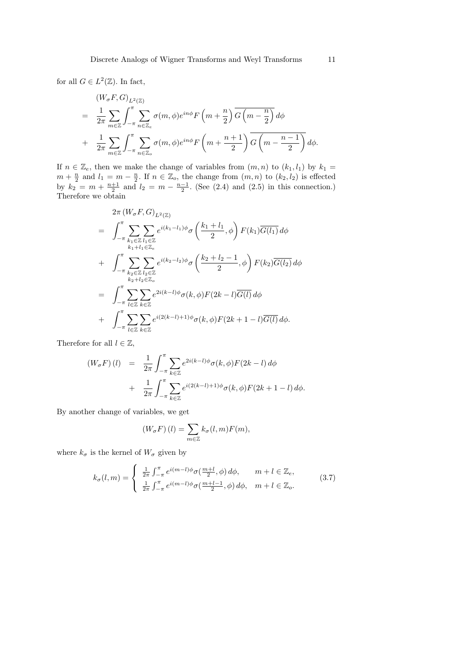for all  $G \in L^2(\mathbb{Z})$ . In fact,

$$
(W_{\sigma}F, G)_{L^{2}(\mathbb{Z})}
$$
\n
$$
= \frac{1}{2\pi} \sum_{m \in \mathbb{Z}} \int_{-\pi}^{\pi} \sum_{n \in \mathbb{Z}_{e}} \sigma(m, \phi) e^{in\phi} F\left(m + \frac{n}{2}\right) \overline{G\left(m - \frac{n}{2}\right)} d\phi
$$
\n
$$
+ \frac{1}{2\pi} \sum_{m \in \mathbb{Z}} \int_{-\pi}^{\pi} \sum_{n \in \mathbb{Z}_{o}} \sigma(m, \phi) e^{in\phi} F\left(m + \frac{n + 1}{2}\right) \overline{G\left(m - \frac{n - 1}{2}\right)} d\phi.
$$

If  $n \in \mathbb{Z}_e$ , then we make the change of variables from  $(m, n)$  to  $(k_1, l_1)$  by  $k_1 =$  $m + \frac{n}{2}$  and  $l_1 = m - \frac{n}{2}$ . If  $n \in \mathbb{Z}_o$ , the change from  $(m, n)$  to  $(k_2, l_2)$  is effected by  $k_2 = m + \frac{n+1}{2}$  and  $l_2 = m - \frac{n-1}{2}$ . (See (2.4) and (2.5) in this connection.) Therefore we obtain

$$
2\pi (W_{\sigma}F, G)_{L^{2}(\mathbb{Z})}
$$
\n
$$
= \int_{-\pi}^{\pi} \sum_{k_{1} \in \mathbb{Z}} \sum_{l_{1} \in \mathbb{Z}} e^{i(k_{1}-l_{1})\phi} \sigma\left(\frac{k_{1}+l_{1}}{2}, \phi\right) F(k_{1}) \overline{G(l_{1})} d\phi
$$
\n
$$
+ \int_{-\pi}^{\pi} \sum_{k_{2} \in \mathbb{Z}} \sum_{l_{2} \in \mathbb{Z}} e^{i(k_{2}-l_{2})\phi} \sigma\left(\frac{k_{2}+l_{2}-1}{2}, \phi\right) F(k_{2}) \overline{G(l_{2})} d\phi
$$
\n
$$
= \int_{-\pi}^{\pi} \sum_{l_{1} \in \mathbb{Z}} \sum_{k_{2} \in \mathbb{Z}} e^{2i(k-l)\phi} \sigma(k, \phi) F(2k-l) \overline{G(l)} d\phi
$$
\n
$$
+ \int_{-\pi}^{\pi} \sum_{l_{1} \in \mathbb{Z}} \sum_{k \in \mathbb{Z}} e^{i(2(k-l)+1)\phi} \sigma(k, \phi) F(2k+1-l) \overline{G(l)} d\phi.
$$

Therefore for all  $l \in \mathbb{Z}$ ,

$$
(W_{\sigma}F)(l) = \frac{1}{2\pi} \int_{-\pi}^{\pi} \sum_{k \in \mathbb{Z}} e^{2i(k-l)\phi} \sigma(k,\phi) F(2k-l) d\phi
$$
  
+ 
$$
\frac{1}{2\pi} \int_{-\pi}^{\pi} \sum_{k \in \mathbb{Z}} e^{i(2(k-l)+1)\phi} \sigma(k,\phi) F(2k+1-l) d\phi.
$$

By another change of variables, we get

$$
(W_{\sigma}F)(l) = \sum_{m \in \mathbb{Z}} k_{\sigma}(l, m)F(m),
$$

where  $k_{\sigma}$  is the kernel of  $W_{\sigma}$  given by

$$
k_{\sigma}(l,m) = \begin{cases} \frac{1}{2\pi} \int_{-\pi}^{\pi} e^{i(m-l)\phi} \sigma(\frac{m+l}{2}, \phi) d\phi, & m+l \in \mathbb{Z}_{e}, \\ \frac{1}{2\pi} \int_{-\pi}^{\pi} e^{i(m-l)\phi} \sigma(\frac{m+l-1}{2}, \phi) d\phi, & m+l \in \mathbb{Z}_{o}. \end{cases}
$$
(3.7)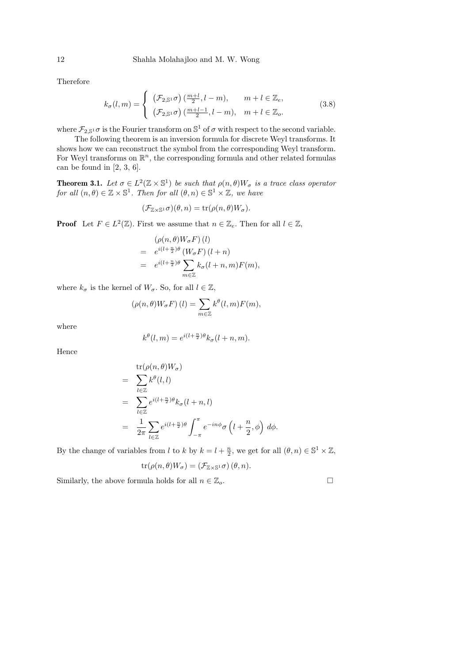Therefore

$$
k_{\sigma}(l,m) = \begin{cases} (\mathcal{F}_{2,\mathbb{S}^1} \sigma) \left( \frac{m+l}{2}, l-m \right), & m+l \in \mathbb{Z}_e, \\ (\mathcal{F}_{2,\mathbb{S}^1} \sigma) \left( \frac{m+l-1}{2}, l-m \right), & m+l \in \mathbb{Z}_o. \end{cases}
$$
(3.8)

where  $\mathcal{F}_{2,\mathbb{S}^1}$  *o* is the Fourier transform on  $\mathbb{S}^1$  of  $\sigma$  with respect to the second variable.

The following theorem is an inversion formula for discrete Weyl transforms. It shows how we can reconstruct the symbol from the corresponding Weyl transform. For Weyl transforms on  $\mathbb{R}^n$ , the corresponding formula and other related formulas can be found in  $[2, 3, 6]$ .

**Theorem 3.1.** Let  $\sigma \in L^2(\mathbb{Z} \times \mathbb{S}^1)$  be such that  $\rho(n, \theta)W_{\sigma}$  is a trace class operator for all  $(n, \theta) \in \mathbb{Z} \times \mathbb{S}^1$ . Then for all  $(\theta, n) \in \mathbb{S}^1 \times \mathbb{Z}$ , we have

$$
(\mathcal{F}_{\mathbb{Z}\times\mathbb{S}^1}\sigma)(\theta,n)=\text{tr}(\rho(n,\theta)W_{\sigma}).
$$

**Proof** Let  $F \in L^2(\mathbb{Z})$ . First we assume that  $n \in \mathbb{Z}_e$ . Then for all  $l \in \mathbb{Z}$ ,

$$
(\rho(n,\theta)W_{\sigma}F)(l)
$$
  
=  $e^{i(l+\frac{n}{2})\theta}(W_{\sigma}F)(l+n)$   
=  $e^{i(l+\frac{n}{2})\theta}\sum_{m\in\mathbb{Z}}k_{\sigma}(l+n,m)F(m),$ 

where  $k_{\sigma}$  is the kernel of  $W_{\sigma}$ . So, for all  $l \in \mathbb{Z}$ ,

$$
(\rho(n,\theta)W_{\sigma}F)(l) = \sum_{m \in \mathbb{Z}} k^{\theta}(l,m)F(m),
$$

where

$$
k^{\theta}(l,m) = e^{i(l+\frac{n}{2})\theta}k_{\sigma}(l+n,m).
$$

Hence

$$
\begin{split}\n&= \sum_{l \in \mathbb{Z}} k^{\theta}(l,l) \\
&= \sum_{l \in \mathbb{Z}} k^{\theta}(l,l) \\
&= \sum_{l \in \mathbb{Z}} e^{i(l+\frac{n}{2})\theta} k_{\sigma}(l+n,l) \\
&= \frac{1}{2\pi} \sum_{l \in \mathbb{Z}} e^{i(l+\frac{n}{2})\theta} \int_{-\pi}^{\pi} e^{-in\phi} \sigma\left(l+\frac{n}{2},\phi\right) d\phi.\n\end{split}
$$

By the change of variables from l to k by  $k = l + \frac{n}{2}$ , we get for all  $(\theta, n) \in \mathbb{S}^1 \times \mathbb{Z}$ ,

$$
\operatorname{tr}(\rho(n,\theta)W_{\sigma}) = (\mathcal{F}_{\mathbb{Z}\times\mathbb{S}^1}\sigma)(\theta,n).
$$

Similarly, the above formula holds for all  $n \in \mathbb{Z}_o$ .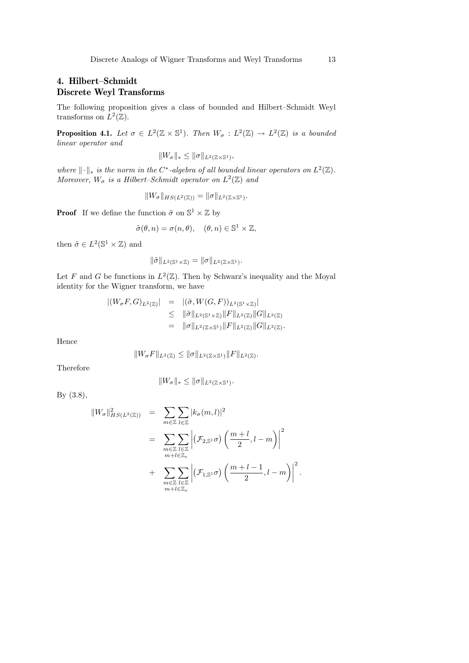### 4. Hilbert–Schmidt Discrete Weyl Transforms

The following proposition gives a class of bounded and Hilbert–Schmidt Weyl transforms on  $L^2(\mathbb{Z})$ .

**Proposition 4.1.** Let  $\sigma \in L^2(\mathbb{Z} \times \mathbb{S}^1)$ . Then  $W_{\sigma} : L^2(\mathbb{Z}) \to L^2(\mathbb{Z})$  is a bounded linear operator and

$$
||W_{\sigma}||_* \leq ||\sigma||_{L^2(\mathbb{Z}\times\mathbb{S}^1)},
$$

where  $\lVert \cdot \rVert_*$  is the norm in the C<sup>\*</sup>-algebra of all bounded linear operators on  $L^2(\mathbb{Z})$ . Moreover,  $W_{\sigma}$  is a Hilbert-Schmidt operator on  $L^2(\mathbb{Z})$  and

$$
||W_{\sigma}||_{HS(L^2(\mathbb{Z}))} = ||\sigma||_{L^2(\mathbb{Z}\times\mathbb{S}^1)}.
$$

**Proof** If we define the function  $\tilde{\sigma}$  on  $\mathbb{S}^1 \times \mathbb{Z}$  by

$$
\tilde{\sigma}(\theta, n) = \sigma(n, \theta), \quad (\theta, n) \in \mathbb{S}^1 \times \mathbb{Z},
$$

then  $\tilde{\sigma} \in L^2(\mathbb{S}^1 \times \mathbb{Z})$  and

$$
\|\tilde{\sigma}\|_{L^2(\mathbb{S}^1\times\mathbb{Z})}=\|\sigma\|_{L^2(\mathbb{Z}\times\mathbb{S}^1)}.
$$

Let F and G be functions in  $L^2(\mathbb{Z})$ . Then by Schwarz's inequality and the Moyal identity for the Wigner transform, we have

$$
\begin{array}{rcl} |(W_{\sigma}F, G)_{L^{2}(\mathbb{Z})}| & = & |(\tilde{\sigma}, W(G, F))_{L^{2}(\mathbb{S}^{1} \times \mathbb{Z})}| \\ & \leq & ||\tilde{\sigma}||_{L^{2}(\mathbb{S}^{1} \times \mathbb{Z})} ||F||_{L^{2}(\mathbb{Z})} ||G||_{L^{2}(\mathbb{Z})} \\ & = & ||\sigma||_{L^{2}(\mathbb{Z} \times \mathbb{S}^{1})} ||F||_{L^{2}(\mathbb{Z})} ||G||_{L^{2}(\mathbb{Z})} .\end{array}
$$

Hence

$$
||W_{\sigma}F||_{L^2(\mathbb{Z})} \le ||\sigma||_{L^2(\mathbb{Z}\times \mathbb{S}^1)} ||F||_{L^2(\mathbb{Z})}.
$$

Therefore

$$
||W_{\sigma}||_* \le ||\sigma||_{L^2(\mathbb{Z}\times\mathbb{S}^1)}.
$$

By (3.8),

$$
||W_{\sigma}||_{HS(L^{2}(\mathbb{Z}))}^{2} = \sum_{m \in \mathbb{Z}} \sum_{l \in \mathbb{Z}} |k_{\sigma}(m,l)|^{2}
$$
  

$$
= \sum_{\substack{m \in \mathbb{Z} \\ m+l \in \mathbb{Z}_{e} \\ m+l \in \mathbb{Z}_{e}}} \left| (\mathcal{F}_{2,S^{1}} \sigma) \left( \frac{m+l}{2}, l-m \right) \right|^{2}
$$
  

$$
+ \sum_{\substack{m \in \mathbb{Z} \\ m+l \in \mathbb{Z}_{o}}} \left| (\mathcal{F}_{1,S^{1}} \sigma) \left( \frac{m+l-1}{2}, l-m \right) \right|^{2}.
$$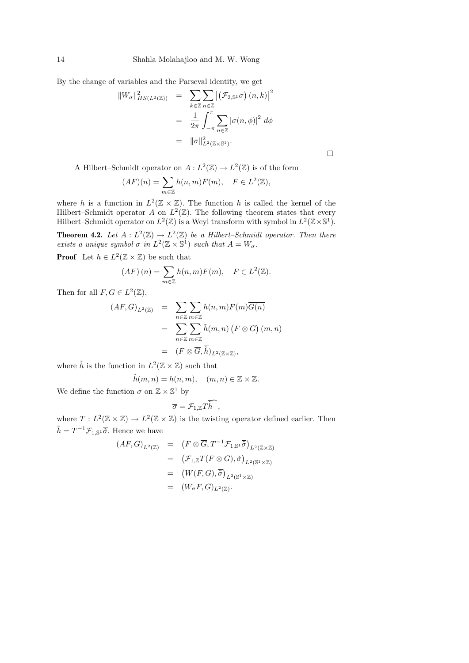By the change of variables and the Parseval identity, we get

$$
||W_{\sigma}||_{HS(L^{2}(\mathbb{Z}))}^{2} = \sum_{k \in \mathbb{Z}} \sum_{n \in \mathbb{Z}} \left| \left( \mathcal{F}_{2,\mathbb{S}^{1}} \sigma \right) (n,k) \right|^{2}
$$
  

$$
= \frac{1}{2\pi} \int_{-\pi}^{\pi} \sum_{n \in \mathbb{Z}} |\sigma(n,\phi)|^{2} d\phi
$$
  

$$
= ||\sigma||_{L^{2}(\mathbb{Z} \times \mathbb{S}^{1})}^{2}.
$$

A Hilbert–Schmidt operator on  $A: L^2(\mathbb{Z}) \to L^2(\mathbb{Z})$  is of the form

$$
(AF)(n) = \sum_{m \in \mathbb{Z}} h(n, m) F(m), \quad F \in L^{2}(\mathbb{Z}),
$$

where h is a function in  $L^2(\mathbb{Z} \times \mathbb{Z})$ . The function h is called the kernel of the Hilbert–Schmidt operator A on  $L^2(\mathbb{Z})$ . The following theorem states that every Hilbert–Schmidt operator on  $L^2(\mathbb{Z})$  is a Weyl transform with symbol in  $L^2(\mathbb{Z}\times\mathbb{S}^1)$ .

**Theorem 4.2.** Let  $A: L^2(\mathbb{Z}) \to L^2(\mathbb{Z})$  be a Hilbert–Schmidt operator. Then there exists a unique symbol  $\sigma$  in  $L^2(\mathbb{Z} \times \mathbb{S}^1)$  such that  $A = W_{\sigma}$ .

**Proof** Let  $h \in L^2(\mathbb{Z} \times \mathbb{Z})$  be such that

$$
(AF)(n) = \sum_{m \in \mathbb{Z}} h(n, m) F(m), \quad F \in L^{2}(\mathbb{Z}).
$$

Then for all  $F, G \in L^2(\mathbb{Z}),$ 

$$
(AF, G)_{L^2(\mathbb{Z})} = \sum_{n \in \mathbb{Z}} \sum_{m \in \mathbb{Z}} h(n, m) F(m) \overline{G(n)}
$$
  
= 
$$
\sum_{n \in \mathbb{Z}} \sum_{m \in \mathbb{Z}} \tilde{h}(m, n) (F \otimes \overline{G}) (m, n)
$$
  
= 
$$
(F \otimes \overline{G}, \overline{\tilde{h}})_{L^2(\mathbb{Z} \times \mathbb{Z})},
$$

where  $\tilde{h}$  is the function in  $L^2(\mathbb{Z} \times \mathbb{Z})$  such that

$$
\tilde{h}(m,n) = h(n,m), \quad (m,n) \in \mathbb{Z} \times \mathbb{Z}.
$$

We define the function  $\sigma$  on  $\mathbb{Z} \times \mathbb{S}^1$  by

$$
\overline{\sigma} = \mathcal{F}_{1,\mathbb{Z}} T \overline{\widetilde{h}}^{\sim},
$$

where  $T: L^2(\mathbb{Z} \times \mathbb{Z}) \to L^2(\mathbb{Z} \times \mathbb{Z})$  is the twisting operator defined earlier. Then  $\tilde{h} = T^{-1} \mathcal{F}_{1, \mathbb{S}^1} \overline{\tilde{\sigma}}$ . Hence we have

$$
(AF, G)_{L^2(\mathbb{Z})} = (F \otimes \overline{G}, T^{-1} \mathcal{F}_{1, \mathbb{S}^1} \overline{\tilde{\sigma}})_{L^2(\mathbb{Z} \times \mathbb{Z})}
$$
  
\n
$$
= (\mathcal{F}_{1, \mathbb{Z}} T(F \otimes \overline{G}), \overline{\tilde{\sigma}})_{L^2(\mathbb{S}^1 \times \mathbb{Z})}
$$
  
\n
$$
= (W(F, G), \overline{\tilde{\sigma}})_{L^2(\mathbb{S}^1 \times \mathbb{Z})}
$$
  
\n
$$
= (W_{\sigma} F, G)_{L^2(\mathbb{Z})}.
$$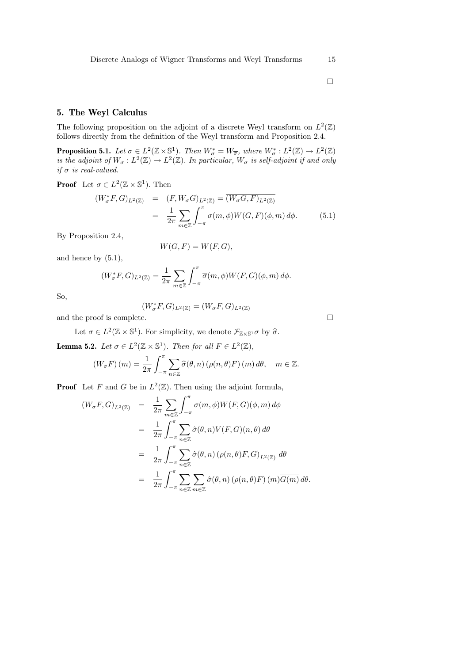### 5. The Weyl Calculus

The following proposition on the adjoint of a discrete Weyl transform on  $L^2(\mathbb{Z})$ follows directly from the definition of the Weyl transform and Proposition 2.4.

**Proposition 5.1.** Let  $\sigma \in L^2(\mathbb{Z} \times \mathbb{S}^1)$ . Then  $W^*_{\sigma} = W_{\overline{\sigma}}$ , where  $W^*_{\sigma} : L^2(\mathbb{Z}) \to L^2(\mathbb{Z})$ is the adjoint of  $W_{\sigma}: L^2(\mathbb{Z}) \to L^2(\mathbb{Z})$ . In particular,  $W_{\sigma}$  is self-adjoint if and only if  $\sigma$  is real-valued.

**Proof** Let  $\sigma \in L^2(\mathbb{Z} \times \mathbb{S}^1)$ . Then

$$
(W_{\sigma}^*F, G)_{L^2(\mathbb{Z})} = (F, W_{\sigma}G)_{L^2(\mathbb{Z})} = \overline{(W_{\sigma}G, F)_{L^2(\mathbb{Z})}}
$$

$$
= \frac{1}{2\pi} \sum_{m \in \mathbb{Z}} \int_{-\pi}^{\pi} \overline{\sigma(m, \phi)W(G, F)(\phi, m)} d\phi.
$$
(5.1)

By Proposition 2.4,

 $\overline{W(G, F)} = W(F, G),$ 

and hence by  $(5.1)$ ,

$$
(W_{\sigma}^*F, G)_{L^2(\mathbb{Z})} = \frac{1}{2\pi} \sum_{m \in \mathbb{Z}} \int_{-\pi}^{\pi} \overline{\sigma}(m, \phi) W(F, G)(\phi, m) d\phi.
$$

So,

$$
(W_\sigma^*F,G)_{L^2(\mathbb{Z})}=(W_{\overline{\sigma}}F,G)_{L^2(\mathbb{Z})}
$$

and the proof is complete.  $\hfill \square$ 

Let  $\sigma \in L^2(\mathbb{Z} \times \mathbb{S}^1)$ . For simplicity, we denote  $\mathcal{F}_{\mathbb{Z} \times \mathbb{S}^1} \sigma$  by  $\widehat{\sigma}$ .

**Lemma 5.2.** Let  $\sigma \in L^2(\mathbb{Z} \times \mathbb{S}^1)$ . Then for all  $F \in L^2(\mathbb{Z})$ ,

$$
(W_{\sigma}F)(m) = \frac{1}{2\pi} \int_{-\pi}^{\pi} \sum_{n \in \mathbb{Z}} \widehat{\sigma}(\theta, n) \left(\rho(n, \theta) F\right)(m) d\theta, \quad m \in \mathbb{Z}.
$$

**Proof** Let F and G be in  $L^2(\mathbb{Z})$ . Then using the adjoint formula,

$$
(W_{\sigma}F, G)_{L^{2}(\mathbb{Z})} = \frac{1}{2\pi} \sum_{m \in \mathbb{Z}} \int_{-\pi}^{\pi} \sigma(m, \phi) W(F, G)(\phi, m) d\phi
$$
  

$$
= \frac{1}{2\pi} \int_{-\pi}^{\pi} \sum_{n \in \mathbb{Z}} \hat{\sigma}(\theta, n) V(F, G)(n, \theta) d\theta
$$
  

$$
= \frac{1}{2\pi} \int_{-\pi}^{\pi} \sum_{n \in \mathbb{Z}} \hat{\sigma}(\theta, n) (\rho(n, \theta) F, G)_{L^{2}(\mathbb{Z})} d\theta
$$
  

$$
= \frac{1}{2\pi} \int_{-\pi}^{\pi} \sum_{n \in \mathbb{Z}} \sum_{m \in \mathbb{Z}} \hat{\sigma}(\theta, n) (\rho(n, \theta) F) (m) \overline{G(m)} d\theta.
$$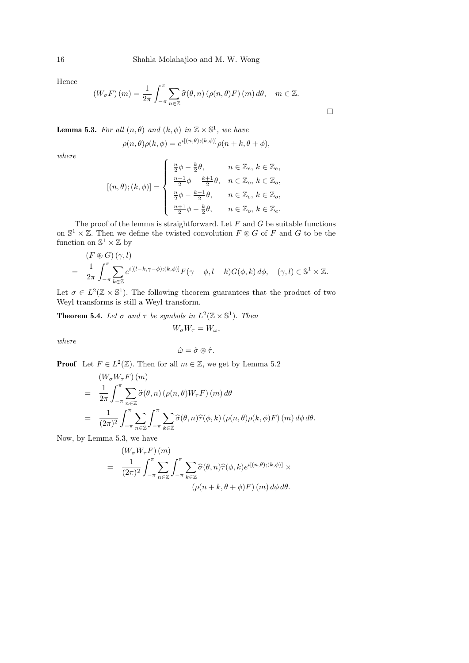Hence

$$
(W_{\sigma}F)(m) = \frac{1}{2\pi} \int_{-\pi}^{\pi} \sum_{n \in \mathbb{Z}} \widehat{\sigma}(\theta, n) \left( \rho(n, \theta) F \right)(m) d\theta, \quad m \in \mathbb{Z}.
$$

 $\Box$ 

**Lemma 5.3.** For all  $(n, \theta)$  and  $(k, \phi)$  in  $\mathbb{Z} \times \mathbb{S}^1$ , we have

$$
\rho(n,\theta)\rho(k,\phi) = e^{i[(n,\theta);(k,\phi)]}\rho(n+k,\theta+\phi),
$$

where

$$
[(n,\theta);(k,\phi)] = \begin{cases} \frac{n}{2}\phi - \frac{k}{2}\theta, & n \in \mathbb{Z}_e, k \in \mathbb{Z}_e, \\ \frac{n-1}{2}\phi - \frac{k+1}{2}\theta, & n \in \mathbb{Z}_o, k \in \mathbb{Z}_o, \\ \frac{n}{2}\phi - \frac{k-1}{2}\theta, & n \in \mathbb{Z}_e, k \in \mathbb{Z}_o, \\ \frac{n+1}{2}\phi - \frac{k}{2}\theta, & n \in \mathbb{Z}_o, k \in \mathbb{Z}_e. \end{cases}
$$

The proof of the lemma is straightforward. Let  $F$  and  $G$  be suitable functions on  $\mathbb{S}^1 \times \mathbb{Z}$ . Then we define the twisted convolution  $F \otimes G$  of F and G to be the function on  $\mathbb{S}^1 \times \mathbb{Z}$  by

$$
(F \circledast G) (\gamma, l)
$$
  
=  $\frac{1}{2\pi} \int_{-\pi}^{\pi} \sum_{k \in \mathbb{Z}} e^{i[(l-k, \gamma-\phi); (k,\phi)]} F(\gamma-\phi, l-k) G(\phi, k) d\phi, \quad (\gamma, l) \in \mathbb{S}^1 \times \mathbb{Z}.$ 

Let  $\sigma \in L^2(\mathbb{Z} \times \mathbb{S}^1)$ . The following theorem guarantees that the product of two Weyl transforms is still a Weyl transform.

**Theorem 5.4.** Let  $\sigma$  and  $\tau$  be symbols in  $L^2(\mathbb{Z} \times \mathbb{S}^1)$ . Then

 $W_{\sigma}W_{\tau}=W_{\omega},$ 

where

$$
\hat{\omega} = \hat{\sigma} \circledast \hat{\tau}.
$$

**Proof** Let  $F \in L^2(\mathbb{Z})$ . Then for all  $m \in \mathbb{Z}$ , we get by Lemma 5.2

$$
(W_{\sigma}W_{\tau}F)(m)
$$
  
=  $\frac{1}{2\pi} \int_{-\pi}^{\pi} \sum_{n \in \mathbb{Z}} \hat{\sigma}(\theta, n) (\rho(n, \theta)W_{\tau}F)(m) d\theta$   
=  $\frac{1}{(2\pi)^2} \int_{-\pi}^{\pi} \sum_{n \in \mathbb{Z}} \int_{-\pi}^{\pi} \sum_{k \in \mathbb{Z}} \hat{\sigma}(\theta, n) \hat{\tau}(\phi, k) (\rho(n, \theta)\rho(k, \phi)F)(m) d\phi d\theta.$ 

Now, by Lemma 5.3, we have

$$
\begin{split} \left(W_{\sigma}W_{\tau}F\right)(m) \\ &= \frac{1}{(2\pi)^2} \int_{-\pi}^{\pi} \sum_{n\in\mathbb{Z}} \int_{-\pi}^{\pi} \sum_{k\in\mathbb{Z}} \widehat{\sigma}(\theta,n)\widehat{\tau}(\phi,k)e^{i[(n,\theta);(k,\phi)]} \times \\ \left(\rho(n+k,\theta+\phi)F\right)(m)\,d\phi\,d\theta. \end{split}
$$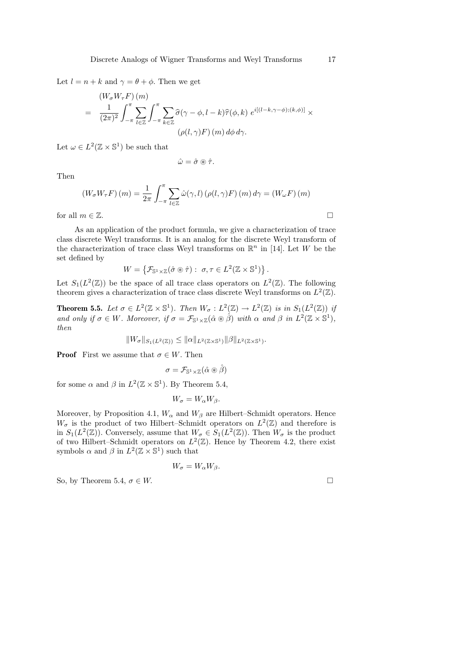Let  $l = n + k$  and  $\gamma = \theta + \phi$ . Then we get

$$
(W_{\sigma}W_{\tau}F)(m)
$$
  
= 
$$
\frac{1}{(2\pi)^2} \int_{-\pi}^{\pi} \sum_{l \in \mathbb{Z}} \int_{-\pi}^{\pi} \sum_{k \in \mathbb{Z}} \widehat{\sigma}(\gamma - \phi, l - k) \widehat{\tau}(\phi, k) e^{i[(l - k, \gamma - \phi); (k, \phi)]} \times
$$
  

$$
(\rho(l, \gamma)F)(m) d\phi d\gamma.
$$

Let  $\omega \in L^2(\mathbb{Z} \times \mathbb{S}^1)$  be such that

$$
\hat{\omega} = \hat{\sigma} \circledast \hat{\tau}.
$$

Then

$$
(W_{\sigma}W_{\tau}F)(m) = \frac{1}{2\pi} \int_{-\pi}^{\pi} \sum_{l \in \mathbb{Z}} \hat{\omega}(\gamma, l) (\rho(l, \gamma)F)(m) d\gamma = (W_{\omega}F)(m)
$$
  
for all  $m \in \mathbb{Z}$ .

As an application of the product formula, we give a characterization of trace class discrete Weyl transforms. It is an analog for the discrete Weyl transform of the characterization of trace class Weyl transforms on  $\mathbb{R}^n$  in [14]. Let W be the set defined by

$$
W = \left\{ \mathcal{F}_{\mathbb{S}^1 \times \mathbb{Z}} (\hat{\sigma} \circledast \hat{\tau}) : \sigma, \tau \in L^2(\mathbb{Z} \times \mathbb{S}^1) \right\}.
$$

Let  $S_1(L^2(\mathbb{Z}))$  be the space of all trace class operators on  $L^2(\mathbb{Z})$ . The following theorem gives a characterization of trace class discrete Weyl transforms on  $L^2(\mathbb{Z})$ .

**Theorem 5.5.** Let  $\sigma \in L^2(\mathbb{Z} \times \mathbb{S}^1)$ . Then  $W_{\sigma} : L^2(\mathbb{Z}) \to L^2(\mathbb{Z})$  is in  $S_1(L^2(\mathbb{Z}))$  is and only if  $\sigma \in W$ . Moreover, if  $\sigma = \mathcal{F}_{\mathbb{S}^1 \times \mathbb{Z}}(\hat{\alpha} \otimes \hat{\beta})$  with  $\alpha$  and  $\beta$  in  $L^2(\mathbb{Z} \times \mathbb{S}^1)$ , then

 $||W_{\sigma}||_{S_1(L^2(\mathbb{Z}))} \leq ||\alpha||_{L^2(\mathbb{Z}\times\mathbb{S}^1)} ||\beta||_{L^2(\mathbb{Z}\times\mathbb{S}^1)}.$ 

**Proof** First we assume that  $\sigma \in W$ . Then

$$
\sigma = \mathcal{F}_{\mathbb{S}^1 \times \mathbb{Z}}(\hat{\alpha} \circledast \hat{\beta})
$$

for some  $\alpha$  and  $\beta$  in  $L^2(\mathbb{Z} \times \mathbb{S}^1)$ . By Theorem 5.4,

$$
W_{\sigma} = W_{\alpha} W_{\beta}.
$$

Moreover, by Proposition 4.1,  $W_{\alpha}$  and  $W_{\beta}$  are Hilbert–Schmidt operators. Hence  $W_{\sigma}$  is the product of two Hilbert–Schmidt operators on  $L^2(\mathbb{Z})$  and therefore is in  $S_1(L^2(\mathbb{Z}))$ . Conversely, assume that  $W_{\sigma} \in S_1(L^2(\mathbb{Z}))$ . Then  $W_{\sigma}$  is the product of two Hilbert–Schmidt operators on  $L^2(\mathbb{Z})$ . Hence by Theorem 4.2, there exist symbols  $\alpha$  and  $\beta$  in  $L^2(\mathbb{Z} \times \mathbb{S}^1)$  such that

$$
W_{\sigma} = W_{\alpha} W_{\beta}.
$$

So, by Theorem 5.4,  $\sigma \in W$ .

$$
\qquad \qquad \Box
$$